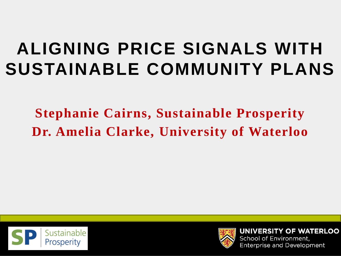#### **ALIGNING PRICE SIGNALS WITH SUSTAINABLE COMMUNITY PLANS**

**Stephanie Cairns, Sustainable Prosperity Dr. Amelia Clarke, University of Waterloo**





**UNIVERSITY OF WATERLOO** School of Environment, **Enterprise and Development**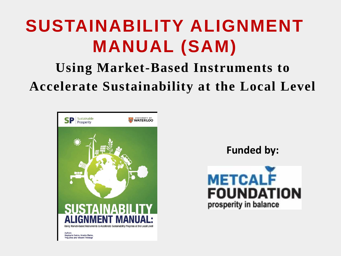#### **SUSTAINABILITY ALIGNMENT MANUAL (SAM)**

#### **Using Market-Based Instruments to Accelerate Sustainability at the Local Level**



**Funded by:** 



Ying Zhou and Vincent Thivierge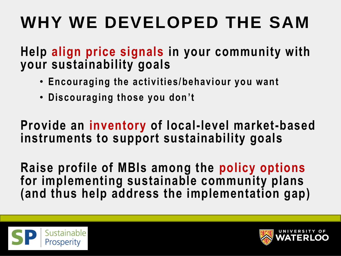## **WHY WE DEVELOPED THE SAM**

**Help align price signals in your community with your sustainability goals** 

- **Encouraging the activities/behaviour you want**
- **Discouraging those you don't**

**Provide an inventory of local-level market-based instruments to support sustainability goals**

**Raise profile of MBIs among the policy options for implementing sustainable community plans (and thus help address the implementation gap)**



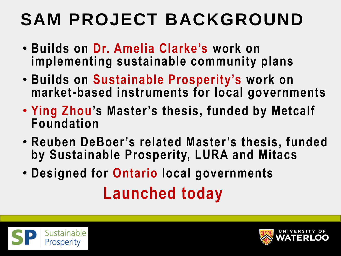## **SAM PROJECT BACKGROUND**

- **Builds on Dr. Amelia Clarke's work on implementing sustainable community plans**
- **Builds on Sustainable Prosperity's work on market-based instruments for local governments**
- **Ying Zhou's Master's thesis, funded by Metcalf Foundation**
- **Reuben DeBoer's related Master's thesis, funded by Sustainable Prosperity, LURA and Mitacs**
- **Designed for Ontario local governments Launched today**



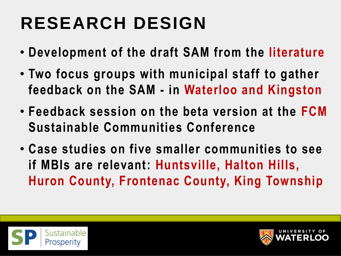# **RESEARCH DESIGN**

- **Development of the draft SAM from the literature**
- **Two focus groups with municipal staff to gather feedback on the SAM - in Waterloo and Kingston**
- **Feedback session on the beta version at the FCM Sustainable Communities Conference**
- **Case studies on five smaller communities to see if MBIs are relevant: Huntsville, Halton Hills, Huron County, Frontenac County, King Township**



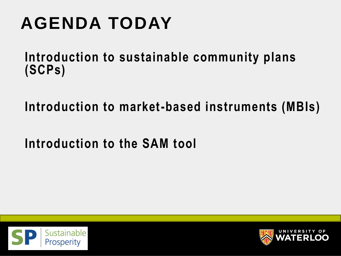# **AGENDA TODAY**

**Introduction to sustainable community plans (SCPs)** 

**Introduction to market-based instruments (MBIs)**

**Introduction to the SAM tool**



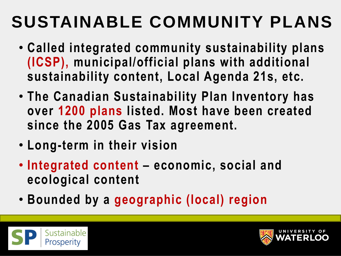## **SUSTAINABLE COMMUNITY PLANS**

- **Called integrated community sustainability plans (ICSP), municipal/official plans with additional sustainability content, Local Agenda 21s, etc.**
- **The Canadian Sustainability Plan Inventory has over 1200 plans listed. Most have been created since the 2005 Gas Tax agreement.**
- **Long-term in their vision**
- **Integrated content – economic, social and ecological content**
- **Bounded by a geographic (local) region**



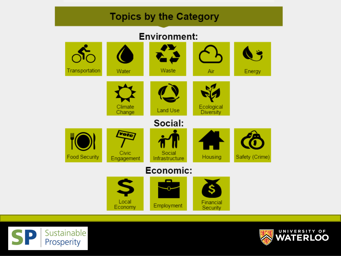#### **Topics by the Category**

#### **Environment:**





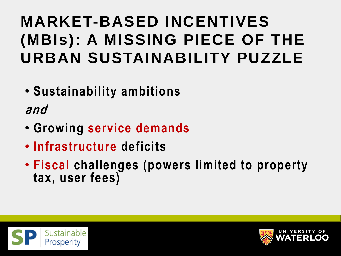#### **MARKET-BASED INCENTIVES (MBIs): A MISSING PIECE OF THE URBAN SUSTAINABILITY PUZZLE**

• **Sustainability ambitions**

**and**

- **Growing service demands**
- **Infrastructure deficits**
- **Fiscal challenges (powers limited to property tax, user fees)**



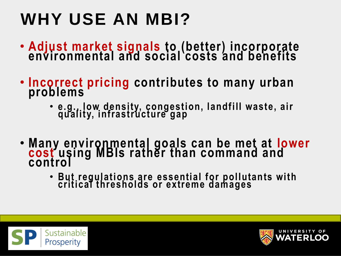# **WHY USE AN MBI?**

- **Adjust market signals to (better) incorporate environmental and social costs and benefits**
- **Incorrect pricing contributes to many urban problems**
	- **e.g., low density, congestion, landfill waste, air quality, infrastructure gap**
- **Many environmental goals can be met at lower cost using MBIs rather than command and control**
	- **But regulations are essential for pollutants with critical thresholds or extreme damages**



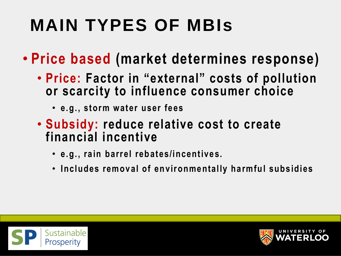# **MAIN TYPES OF MBIs**

- **Price based (market determines response)**
	- **Price: Factor in "external" costs of pollution or scarcity to influence consumer choice** 
		- **e.g., storm water user fees**
	- **Subsidy: reduce relative cost to create financial incentive**
		- **e.g., rain barrel rebates/incentives.**
		- **Includes removal of environmentally harmful subsidies**



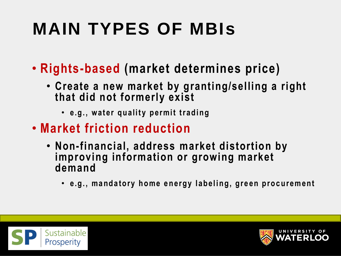# **MAIN TYPES OF MBIs**

- **Rights-based (market determines price)**
	- **Create a new market by granting/selling a right that did not formerly exist**
		- **e.g., water quality permit trading**
- **Market friction reduction**
	- **Non-financial, address market distortion by improving information or growing market demand**
		- **e.g., mandatory home energy labeling, green procurement**



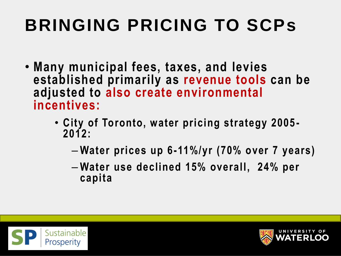# **BRINGING PRICING TO SCPs**

- **Many municipal fees, taxes, and levies established primarily as revenue tools can be adjusted to also create environmental incentives:**
	- **City of Toronto, water pricing strategy 2005 - 2012:** 
		- **Water prices up 6-11%/yr (70% over 7 years)**
		- **Water use declined 15% overall, 24% per capita**



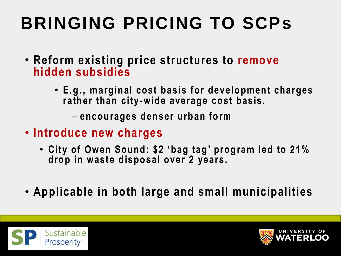## **BRINGING PRICING TO SCPs**

- **Reform existing price structures to remove hidden subsidies**
	- **E.g., marginal cost basis for development charges rather than city-wide average cost basis.**

– **encourages denser urban form**

- **Introduce new charges** 
	- **City of Owen Sound: \$2 'bag tag' program led to 21% drop in waste disposal over 2 years.**
- **Applicable in both large and small municipalities**



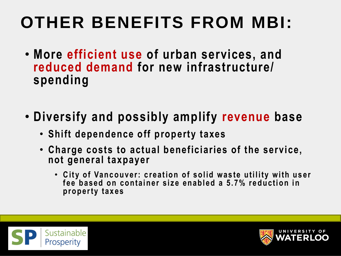#### **OTHER BENEFITS FROM MBI:**

- **More efficient use of urban services, and reduced demand for new infrastructure/ spending**
- **Diversify and possibly amplify revenue base**
	- **Shift dependence off property taxes**
	- **Charge costs to actual beneficiaries of the service, not general taxpayer**
		- **C ity of Vancouver: creation of solid w aste utility w ith user**  fee based on container size enabled a 5.7% reduction in **property taxes**



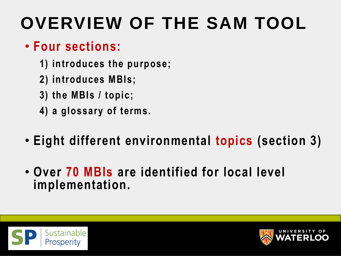## **OVERVIEW OF THE SAM TOOL**

#### • **Four sections:**

- **1) introduces the purpose;**
- **2) introduces MBIs;**
- **3) the MBIs / topic;**
- **4) a glossary of terms.**
- **Eight different environmental topics (section 3)**
- **Over 70 MBIs are identified for local level implementation.**



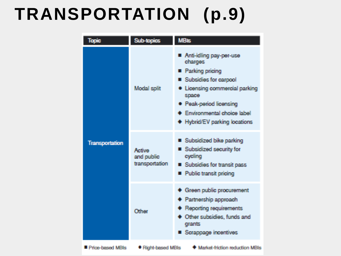#### **TRANSPORTATION (p.9)**

| <b>Tooic</b>            | Sub-topics                             | <b>MB<sub>is</sub></b>                                                                                                                                                                                                       |
|-------------------------|----------------------------------------|------------------------------------------------------------------------------------------------------------------------------------------------------------------------------------------------------------------------------|
| Transportation          | Modal split                            | Anti-idling pay-per-use<br>charges<br><b>Parking pricing</b><br>■ Subsidies for carpool<br>· Licensing commercial parking<br>space<br>· Peak-period licensing<br>Environmental choice label<br>+ Hybrid/EV parking locations |
|                         | Active<br>and public<br>transportation | ■ Subsidized bike parking<br>■ Subsidized security for<br>cycling<br>■ Subsidies for transit pass<br>Public transit pricing                                                                                                  |
|                         | Other                                  | Green public procurement<br>Partnership approach<br>Reporting requirements<br>Other subsidies, funds and<br>qrants<br>Scrappage incentives                                                                                   |
| <b>Price-based MRIs</b> | ● Right-based MBIs                     | Market-friction reduction MBIs                                                                                                                                                                                               |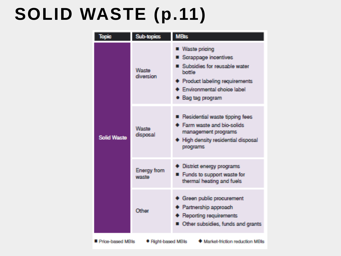#### **SOLID WASTE (p.11)**

| <b>Topic</b>       | <b>Sub-topics</b>           | <b>MBIs</b>                                                                                                                                                                           |
|--------------------|-----------------------------|---------------------------------------------------------------------------------------------------------------------------------------------------------------------------------------|
| <b>Solid Waste</b> | Waste<br>diversion          | <b>Waste pricing</b><br>■ Scrappage incentives<br>Subsidies for reusable water<br>bottle<br><b>+ Product labeling requirements</b><br>Environmental choice label<br>• Bag tag program |
|                    | Waste<br>disposal           | Residential waste tipping fees<br>Farm waste and bio-solids<br>management programs<br>High density residential disposal<br>programs                                                   |
|                    | <b>Energy</b> from<br>waste | District energy programs<br>Funds to support waste for<br>П<br>thermal heating and fuels                                                                                              |
|                    | Other                       | Green public procurement<br><b>+ Partnership approach</b><br>Reporting requirements<br>Other subsidies, funds and grants                                                              |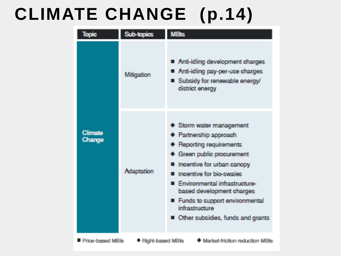#### **CLIMATE CHANGE (p.14)**

| <b>Topic</b>                                                                    | Sub-topics | <b>MBIs</b>                                                                                                                                                                                                                                                                                                                  |  |  |
|---------------------------------------------------------------------------------|------------|------------------------------------------------------------------------------------------------------------------------------------------------------------------------------------------------------------------------------------------------------------------------------------------------------------------------------|--|--|
| <b>Climate</b><br>Change                                                        | Mitigation | Anti-idling development charges<br>Anti-idling pay-per-use charges<br>■ Subsidy for renewable energy/<br>district energy                                                                                                                                                                                                     |  |  |
|                                                                                 | Adaptation | Storm water management<br>Partnership approach<br><b>Reporting requirements</b><br>Green public procurement<br>Incentive for urban canopy<br>Incentive for bio-swales<br>Environmental infrastructure-<br>based development charges<br>Funds to support environmental<br>infrastructure<br>Other subsidies, funds and grants |  |  |
| ● Right-based MBIs<br>Market-friction reduction MBIs<br><b>Price-based MBIs</b> |            |                                                                                                                                                                                                                                                                                                                              |  |  |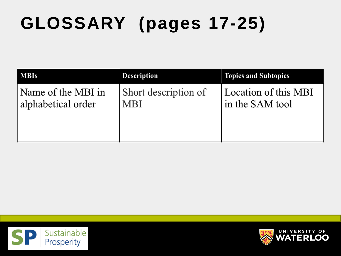# **GLOSSARY (pages 17-25)**

| <b>MBIs</b>        | <b>Description</b>   | <b>Topics and Subtopics</b> |
|--------------------|----------------------|-----------------------------|
| Name of the MBI in | Short description of | Location of this MBI        |
| alphabetical order | <b>MBI</b>           | in the SAM tool             |



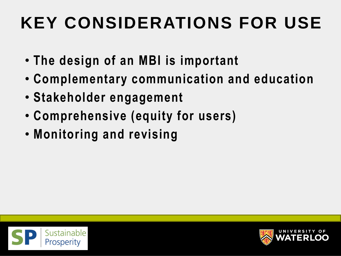### **KEY CONSIDERATIONS FOR USE**

- **The design of an MBI is important**
- **Complementary communication and education**
- **Stakeholder engagement**
- **Comprehensive (equity for users)**
- **Monitoring and revising**



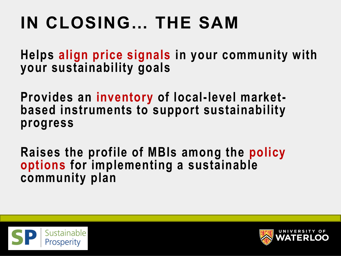# **IN CLOSING… THE SAM**

**Helps align price signals in your community with your sustainability goals**

**Provides an inventory of local-level marketbased instruments to support sustainability progress**

**Raises the profile of MBIs among the policy options for implementing a sustainable community plan**



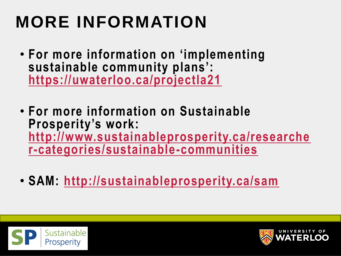# **MORE INFORMATION**

- **For more information on 'implementing sustainable community plans': <https://uwaterloo.ca/projectla21>**
- **For more information on Sustainable Prosperity's work: [http://www.sustainableprosperity.ca/researche](http://www.sustainableprosperity.ca/researcher-categories/sustainable-communities) r-categories/sustainable-communities**
- **SAM: <http://sustainableprosperity.ca/sam>**